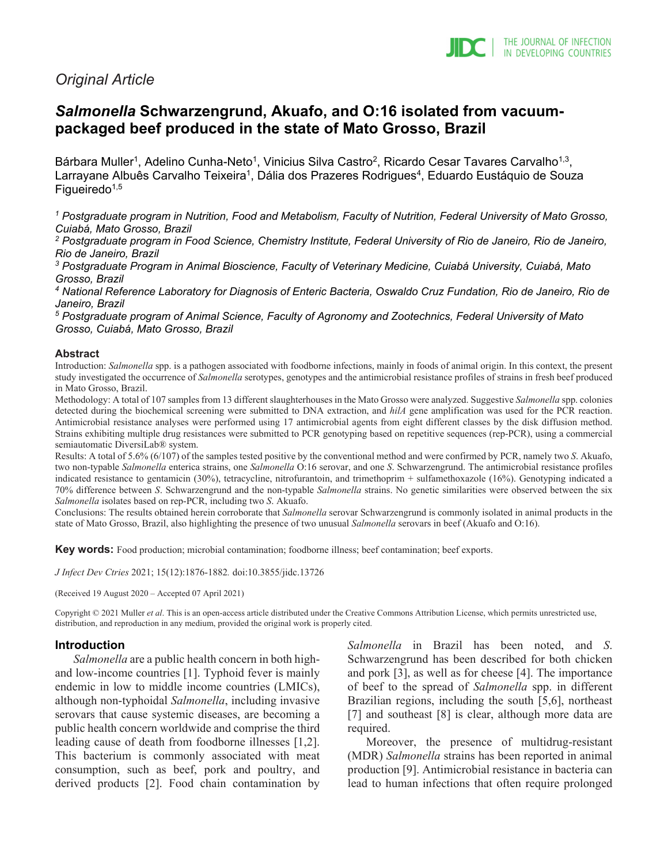

# *Original Article*

# *Salmonella* **Schwarzengrund, Akuafo, and O:16 isolated from vacuumpackaged beef produced in the state of Mato Grosso, Brazil**

Bárbara Muller<sup>1</sup>, Adelino Cunha-Neto<sup>1</sup>, Vinicius Silva Castro<sup>2</sup>, Ricardo Cesar Tavares Carvalho<sup>1,3</sup>, Larrayane Albuês Carvalho Teixeira<sup>1</sup>, Dália dos Prazeres Rodrigues<sup>4</sup>, Eduardo Eustáquio de Souza Figueiredo<sup> $1,5$ </sup>

*<sup>1</sup> Postgraduate program in Nutrition, Food and Metabolism, Faculty of Nutrition, Federal University of Mato Grosso, Cuiabá, Mato Grosso, Brazil*

*<sup>2</sup> Postgraduate program in Food Science, Chemistry Institute, Federal University of Rio de Janeiro, Rio de Janeiro, Rio de Janeiro, Brazil*

*<sup>3</sup> Postgraduate Program in Animal Bioscience, Faculty of Veterinary Medicine, Cuiabá University, Cuiabá, Mato Grosso, Brazil*

*<sup>4</sup> National Reference Laboratory for Diagnosis of Enteric Bacteria, Oswaldo Cruz Fundation, Rio de Janeiro, Rio de Janeiro, Brazil*

*5 Postgraduate program of Animal Science, Faculty of Agronomy and Zootechnics, Federal University of Mato Grosso, Cuiabá, Mato Grosso, Brazil*

#### **Abstract**

Introduction: *Salmonella* spp. is a pathogen associated with foodborne infections, mainly in foods of animal origin. In this context, the present study investigated the occurrence of *Salmonella* serotypes, genotypes and the antimicrobial resistance profiles of strains in fresh beef produced in Mato Grosso, Brazil.

Methodology: A total of 107 samples from 13 different slaughterhouses in the Mato Grosso were analyzed. Suggestive *Salmonella* spp. colonies detected during the biochemical screening were submitted to DNA extraction, and *hilA* gene amplification was used for the PCR reaction. Antimicrobial resistance analyses were performed using 17 antimicrobial agents from eight different classes by the disk diffusion method. Strains exhibiting multiple drug resistances were submitted to PCR genotyping based on repetitive sequences (rep-PCR), using a commercial semiautomatic DiversiLab® system.

Results: A total of 5.6% (6/107) of the samples tested positive by the conventional method and were confirmed by PCR, namely two *S*. Akuafo, two non-typable *Salmonella* enterica strains, one *Salmonella* O:16 serovar, and one *S*. Schwarzengrund. The antimicrobial resistance profiles indicated resistance to gentamicin (30%), tetracycline, nitrofurantoin, and trimethoprim + sulfamethoxazole (16%). Genotyping indicated a 70% difference between *S*. Schwarzengrund and the non-typable *Salmonella* strains. No genetic similarities were observed between the six *Salmonella* isolates based on rep-PCR, including two *S*. Akuafo.

Conclusions: The results obtained herein corroborate that *Salmonella* serovar Schwarzengrund is commonly isolated in animal products in the state of Mato Grosso, Brazil, also highlighting the presence of two unusual *Salmonella* serovars in beef (Akuafo and O:16).

**Key words:** Food production; microbial contamination; foodborne illness; beef contamination; beef exports.

*J Infect Dev Ctries* 2021; 15(12):1876-1882*.* doi:10.3855/jidc.13726

(Received 19 August 2020 – Accepted 07 April 2021)

Copyright © 2021 Muller *et al*. This is an open-access article distributed under the Creative Commons Attribution License, which permits unrestricted use, distribution, and reproduction in any medium, provided the original work is properly cited.

## **Introduction**

*Salmonella* are a public health concern in both highand low-income countries [1]. Typhoid fever is mainly endemic in low to middle income countries (LMICs), although non-typhoidal *Salmonella*, including invasive serovars that cause systemic diseases, are becoming a public health concern worldwide and comprise the third leading cause of death from foodborne illnesses [1,2]. This bacterium is commonly associated with meat consumption, such as beef, pork and poultry, and derived products [2]. Food chain contamination by

*Salmonella* in Brazil has been noted, and *S*. Schwarzengrund has been described for both chicken and pork [3], as well as for cheese [4]. The importance of beef to the spread of *Salmonella* spp. in different Brazilian regions, including the south [5,6], northeast [7] and southeast [8] is clear, although more data are required.

Moreover, the presence of multidrug-resistant (MDR) *Salmonella* strains has been reported in animal production [9]. Antimicrobial resistance in bacteria can lead to human infections that often require prolonged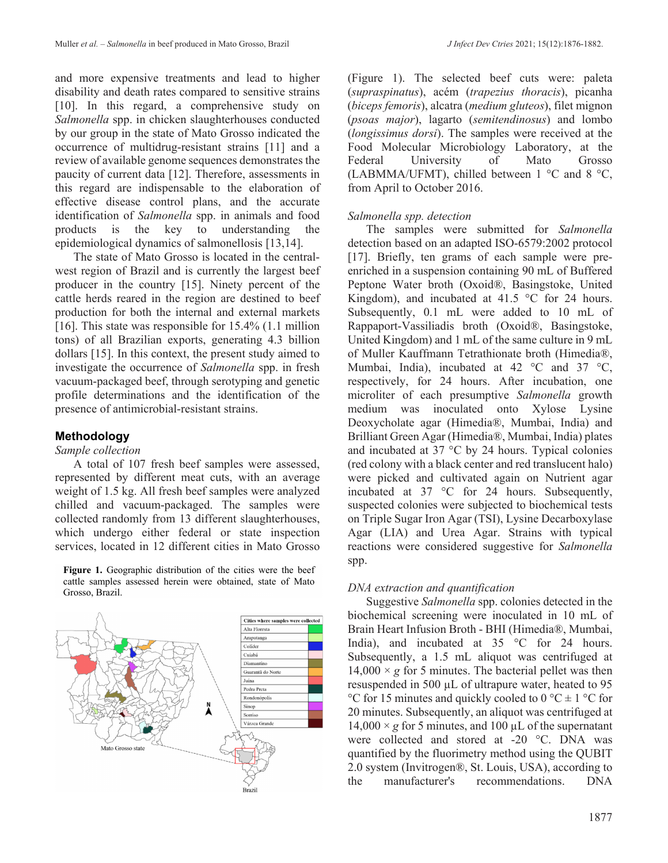and more expensive treatments and lead to higher disability and death rates compared to sensitive strains [10]. In this regard, a comprehensive study on *Salmonella* spp. in chicken slaughterhouses conducted by our group in the state of Mato Grosso indicated the occurrence of multidrug-resistant strains [11] and a review of available genome sequences demonstrates the paucity of current data [12]. Therefore, assessments in this regard are indispensable to the elaboration of effective disease control plans, and the accurate identification of *Salmonella* spp. in animals and food products is the key to understanding the epidemiological dynamics of salmonellosis [13,14].

The state of Mato Grosso is located in the centralwest region of Brazil and is currently the largest beef producer in the country [15]. Ninety percent of the cattle herds reared in the region are destined to beef production for both the internal and external markets [16]. This state was responsible for 15.4% (1.1 million tons) of all Brazilian exports, generating 4.3 billion dollars [15]. In this context, the present study aimed to investigate the occurrence of *Salmonella* spp. in fresh vacuum-packaged beef, through serotyping and genetic profile determinations and the identification of the presence of antimicrobial-resistant strains.

## **Methodology**

#### *Sample collection*

A total of 107 fresh beef samples were assessed, represented by different meat cuts, with an average weight of 1.5 kg. All fresh beef samples were analyzed chilled and vacuum-packaged. The samples were collected randomly from 13 different slaughterhouses, which undergo either federal or state inspection services, located in 12 different cities in Mato Grosso

**Figure 1.** Geographic distribution of the cities were the beef cattle samples assessed herein were obtained, state of Mato Grosso, Brazil.



(Figure 1). The selected beef cuts were: paleta (*supraspinatus*), acém (*trapezius thoracis*), picanha (*biceps femoris*), alcatra (*medium gluteos*), filet mignon (*psoas major*), lagarto (*semitendinosus*) and lombo (*longissimus dorsi*). The samples were received at the Food Molecular Microbiology Laboratory, at the Federal University of Mato Grosso (LABMMA/UFMT), chilled between 1 °C and 8 °C, from April to October 2016.

## *Salmonella spp. detection*

The samples were submitted for *Salmonella* detection based on an adapted ISO-6579:2002 protocol [17]. Briefly, ten grams of each sample were preenriched in a suspension containing 90 mL of Buffered Peptone Water broth (Oxoid®, Basingstoke, United Kingdom), and incubated at  $41.5 \degree$ C for 24 hours. Subsequently, 0.1 mL were added to 10 mL of Rappaport-Vassiliadis broth (Oxoid®, Basingstoke, United Kingdom) and 1 mL of the same culture in 9 mL of Muller Kauffmann Tetrathionate broth (Himedia®, Mumbai, India), incubated at 42 °C and 37 °C, respectively, for 24 hours. After incubation, one microliter of each presumptive *Salmonella* growth medium was inoculated onto Xylose Lysine Deoxycholate agar (Himedia®, Mumbai, India) and Brilliant Green Agar (Himedia®, Mumbai, India) plates and incubated at 37 °C by 24 hours. Typical colonies (red colony with a black center and red translucent halo) were picked and cultivated again on Nutrient agar incubated at 37 °C for 24 hours. Subsequently, suspected colonies were subjected to biochemical tests on Triple Sugar Iron Agar (TSI), Lysine Decarboxylase Agar (LIA) and Urea Agar. Strains with typical reactions were considered suggestive for *Salmonella* spp.

## *DNA extraction and quantification*

Suggestive *Salmonella* spp. colonies detected in the biochemical screening were inoculated in 10 mL of Brain Heart Infusion Broth - BHI (Himedia®, Mumbai, India), and incubated at 35 °C for 24 hours. Subsequently, a 1.5 mL aliquot was centrifuged at  $14,000 \times g$  for 5 minutes. The bacterial pellet was then resuspended in 500 µL of ultrapure water, heated to 95 °C for 15 minutes and quickly cooled to  $0$  °C  $\pm$  1 °C for 20 minutes. Subsequently, an aliquot was centrifuged at  $14,000 \times g$  for 5 minutes, and 100  $\mu$ L of the supernatant were collected and stored at -20 °C. DNA was quantified by the fluorimetry method using the QUBIT 2.0 system (Invitrogen®, St. Louis, USA), according to the manufacturer's recommendations. DNA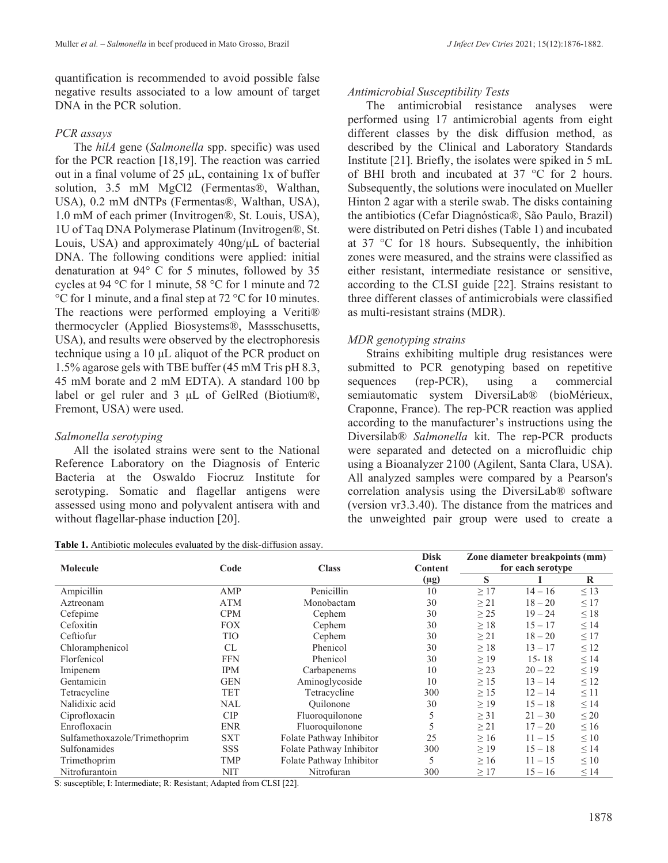## *PCR assays*

The *hilA* gene (*Salmonella* spp. specific) was used for the PCR reaction [18,19]. The reaction was carried out in a final volume of 25 μL, containing 1x of buffer solution, 3.5 mM MgCl2 (Fermentas®, Walthan, USA), 0.2 mM dNTPs (Fermentas®, Walthan, USA), 1.0 mM of each primer (Invitrogen®, St. Louis, USA), 1U of Taq DNA Polymerase Platinum (Invitrogen®, St. Louis, USA) and approximately 40ng/μL of bacterial DNA. The following conditions were applied: initial denaturation at 94° C for 5 minutes, followed by 35 cycles at 94 °C for 1 minute, 58 °C for 1 minute and 72 °C for 1 minute, and a final step at 72 °C for 10 minutes. The reactions were performed employing a Veriti® thermocycler (Applied Biosystems®, Massschusetts, USA), and results were observed by the electrophoresis technique using a 10 μL aliquot of the PCR product on 1.5% agarose gels with TBE buffer (45 mM Tris pH 8.3, 45 mM borate and 2 mM EDTA). A standard 100 bp label or gel ruler and 3 μL of GelRed (Biotium®, Fremont, USA) were used.

## *Salmonella serotyping*

All the isolated strains were sent to the National Reference Laboratory on the Diagnosis of Enteric Bacteria at the Oswaldo Fiocruz Institute for serotyping. Somatic and flagellar antigens were assessed using mono and polyvalent antisera with and without flagellar-phase induction [20].

**Table 1.** Antibiotic molecules evaluated by the disk-diffusion assay.

## *Antimicrobial Susceptibility Tests*

The antimicrobial resistance analyses were performed using 17 antimicrobial agents from eight different classes by the disk diffusion method, as described by the Clinical and Laboratory Standards Institute [21]. Briefly, the isolates were spiked in 5 mL of BHI broth and incubated at 37 °C for 2 hours. Subsequently, the solutions were inoculated on Mueller Hinton 2 agar with a sterile swab. The disks containing the antibiotics (Cefar Diagnóstica®, São Paulo, Brazil) were distributed on Petri dishes (Table 1) and incubated at 37 °C for 18 hours. Subsequently, the inhibition zones were measured, and the strains were classified as either resistant, intermediate resistance or sensitive, according to the CLSI guide [22]. Strains resistant to three different classes of antimicrobials were classified as multi-resistant strains (MDR).

## *MDR genotyping strains*

Strains exhibiting multiple drug resistances were submitted to PCR genotyping based on repetitive sequences (rep-PCR), using a commercial semiautomatic system DiversiLab® (bioMérieux, Craponne, France). The rep-PCR reaction was applied according to the manufacturer's instructions using the Diversilab® *Salmonella* kit. The rep-PCR products were separated and detected on a microfluidic chip using a Bioanalyzer 2100 (Agilent, Santa Clara, USA). All analyzed samples were compared by a Pearson's correlation analysis using the DiversiLab® software (version vr3.3.40). The distance from the matrices and the unweighted pair group were used to create a

|                               | Code       | <b>Class</b>             | <b>Disk</b>    | Zone diameter breakpoints (mm) |           |           |
|-------------------------------|------------|--------------------------|----------------|--------------------------------|-----------|-----------|
| <b>Molecule</b>               |            |                          | <b>Content</b> | for each serotype              |           |           |
|                               |            |                          | $(\mu g)$      | S                              |           | R         |
| Ampicillin                    | AMP        | Penicillin               | 10             | $\geq$ 17                      | $14 - 16$ | $\leq$ 13 |
| Aztreonam                     | <b>ATM</b> | Monobactam               | 30             | $\geq$ 21                      | $18 - 20$ | $\leq$ 17 |
| Cefepime                      | <b>CPM</b> | Cephem                   | 30             | $\geq$ 25                      | $19 - 24$ | $\leq 18$ |
| Cefoxitin                     | <b>FOX</b> | Cephem                   | 30             | $\geq 18$                      | $15 - 17$ | $\leq$ 14 |
| Ceftiofur                     | TIO        | Cephem                   | 30             | $\geq$ 21                      | $18 - 20$ | $\leq$ 17 |
| Chloramphenicol               | <b>CL</b>  | Phenicol                 | 30             | $\geq 18$                      | $13 - 17$ | $\leq 12$ |
| Florfenicol                   | <b>FFN</b> | Phenicol                 | 30             | $\geq$ 19                      | $15 - 18$ | $\leq$ 14 |
| Imipenem                      | <b>IPM</b> | Carbapenems              | 10             | $\geq$ 23                      | $20 - 22$ | $\leq$ 19 |
| Gentamicin                    | <b>GEN</b> | Aminoglycoside           | 10             | $\geq$ 15                      | $13 - 14$ | $\leq 12$ |
| Tetracycline                  | <b>TET</b> | Tetracycline             | 300            | >15                            | $12 - 14$ | $\leq$ 11 |
| Nalidixic acid                | NAL        | <b>Ouilonone</b>         | 30             | $\geq$ 19                      | $15 - 18$ | $\leq$ 14 |
| Ciprofloxacin                 | CIP        | Fluoroquilonone          | 5              | $\geq$ 31                      | $21 - 30$ | $\leq 20$ |
| Enrofloxacin                  | <b>ENR</b> | Fluoroquilonone          | 5              | $\geq$ 21                      | $17 - 20$ | $\leq 16$ |
| Sulfamethoxazole/Trimethoprim | <b>SXT</b> | Folate Pathway Inhibitor | 25             | $\geq 16$                      | $11 - 15$ | $\leq 10$ |
| Sulfonamides                  | <b>SSS</b> | Folate Pathway Inhibitor | 300            | $\geq$ 19                      | $15 - 18$ | $\leq$ 14 |
| Trimethoprim                  | TMP        | Folate Pathway Inhibitor | 5              | $\geq 16$                      | $11 - 15$ | $\leq 10$ |
| Nitrofurantoin                | <b>NIT</b> | Nitrofuran               | 300            | $\geq$ 17                      | $15 - 16$ | $\leq$ 14 |

S: susceptible; I: Intermediate; R: Resistant; Adapted from CLSI [22].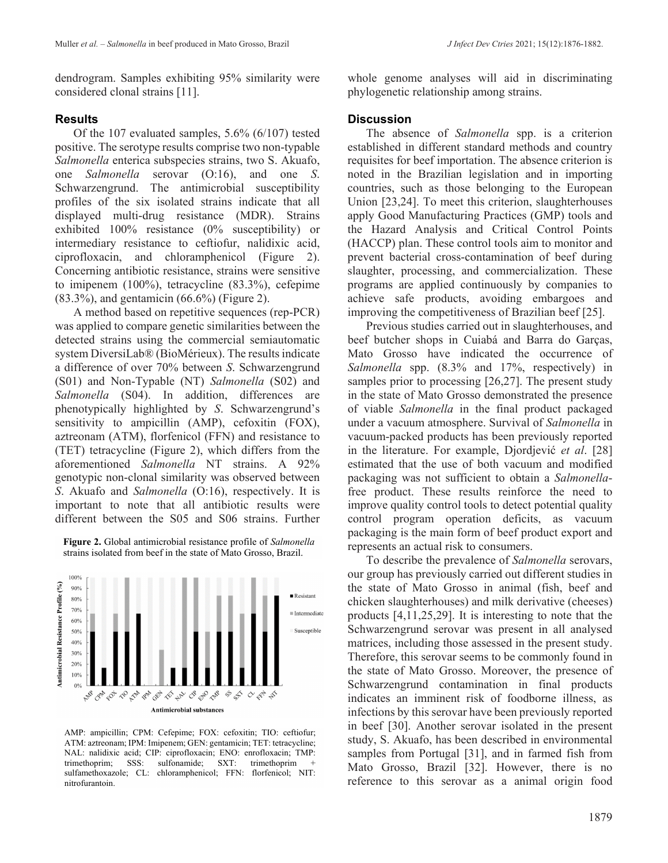dendrogram. Samples exhibiting 95% similarity were considered clonal strains [11].

## **Results**

Of the 107 evaluated samples, 5.6% (6/107) tested positive. The serotype results comprise two non-typable *Salmonella* enterica subspecies strains, two S. Akuafo, one *Salmonella* serovar (O:16), and one *S*. Schwarzengrund. The antimicrobial susceptibility profiles of the six isolated strains indicate that all displayed multi-drug resistance (MDR). Strains exhibited 100% resistance (0% susceptibility) or intermediary resistance to ceftiofur, nalidixic acid, ciprofloxacin, and chloramphenicol (Figure 2). Concerning antibiotic resistance, strains were sensitive to imipenem (100%), tetracycline (83.3%), cefepime (83.3%), and gentamicin (66.6%) (Figure 2).

A method based on repetitive sequences (rep-PCR) was applied to compare genetic similarities between the detected strains using the commercial semiautomatic system DiversiLab® (BioMérieux). The results indicate a difference of over 70% between *S*. Schwarzengrund (S01) and Non-Typable (NT) *Salmonella* (S02) and *Salmonella* (S04). In addition, differences are phenotypically highlighted by *S*. Schwarzengrund's sensitivity to ampicillin (AMP), cefoxitin (FOX), aztreonam (ATM), florfenicol (FFN) and resistance to (TET) tetracycline (Figure 2), which differs from the aforementioned *Salmonella* NT strains. A 92% genotypic non-clonal similarity was observed between *S*. Akuafo and *Salmonella* (O:16), respectively. It is important to note that all antibiotic results were different between the S05 and S06 strains. Further

**Figure 2.** Global antimicrobial resistance profile of *Salmonella*  strains isolated from beef in the state of Mato Grosso, Brazil.



AMP: ampicillin; CPM: Cefepime; FOX: cefoxitin; TIO: ceftiofur; ATM: aztreonam; IPM: Imipenem; GEN: gentamicin; TET: tetracycline; NAL: nalidixic acid; CIP: ciprofloxacin; ENO: enrofloxacin; TMP: trimethoprim; SSS: sulfonamide; SXT: trimethoprim + sulfamethoxazole; CL: chloramphenicol; FFN: florfenicol; NIT: nitrofurantoin.

whole genome analyses will aid in discriminating phylogenetic relationship among strains.

## **Discussion**

The absence of *Salmonella* spp. is a criterion established in different standard methods and country requisites for beef importation. The absence criterion is noted in the Brazilian legislation and in importing countries, such as those belonging to the European Union [23,24]. To meet this criterion, slaughterhouses apply Good Manufacturing Practices (GMP) tools and the Hazard Analysis and Critical Control Points (HACCP) plan. These control tools aim to monitor and prevent bacterial cross-contamination of beef during slaughter, processing, and commercialization. These programs are applied continuously by companies to achieve safe products, avoiding embargoes and improving the competitiveness of Brazilian beef [25].

Previous studies carried out in slaughterhouses, and beef butcher shops in Cuiabá and Barra do Garças, Mato Grosso have indicated the occurrence of *Salmonella* spp. (8.3% and 17%, respectively) in samples prior to processing [26,27]. The present study in the state of Mato Grosso demonstrated the presence of viable *Salmonella* in the final product packaged under a vacuum atmosphere. Survival of *Salmonella* in vacuum-packed products has been previously reported in the literature. For example, Djordjević *et al*. [28] estimated that the use of both vacuum and modified packaging was not sufficient to obtain a *Salmonella*free product. These results reinforce the need to improve quality control tools to detect potential quality control program operation deficits, as vacuum packaging is the main form of beef product export and represents an actual risk to consumers.

To describe the prevalence of *Salmonella* serovars, our group has previously carried out different studies in the state of Mato Grosso in animal (fish, beef and chicken slaughterhouses) and milk derivative (cheeses) products [4,11,25,29]. It is interesting to note that the Schwarzengrund serovar was present in all analysed matrices, including those assessed in the present study. Therefore, this serovar seems to be commonly found in the state of Mato Grosso. Moreover, the presence of Schwarzengrund contamination in final products indicates an imminent risk of foodborne illness, as infections by this serovar have been previously reported in beef [30]. Another serovar isolated in the present study, S. Akuafo, has been described in environmental samples from Portugal [31], and in farmed fish from Mato Grosso, Brazil [32]. However, there is no reference to this serovar as a animal origin food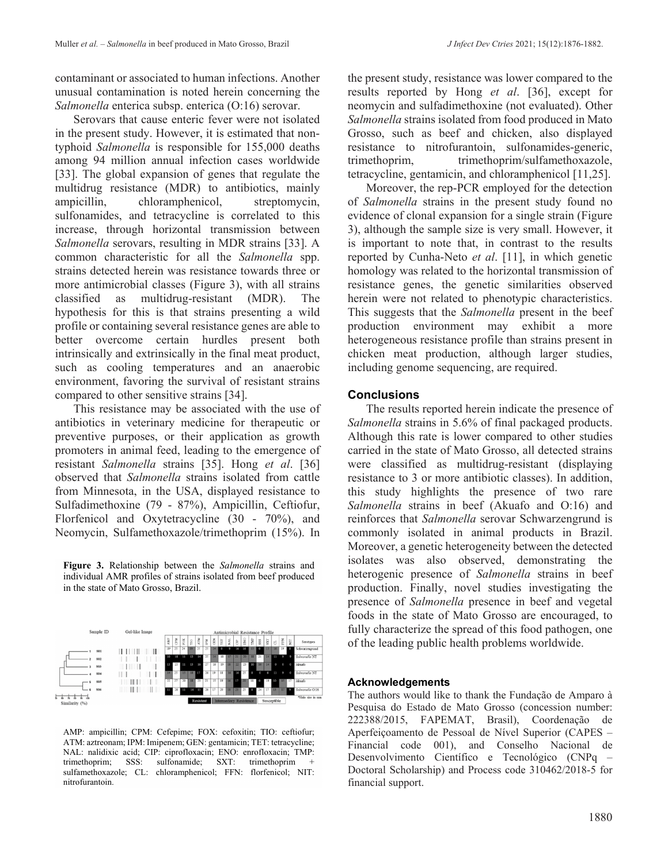contaminant or associated to human infections. Another unusual contamination is noted herein concerning the *Salmonella* enterica subsp. enterica (O:16) serovar.

Serovars that cause enteric fever were not isolated in the present study. However, it is estimated that nontyphoid *Salmonella* is responsible for 155,000 deaths among 94 million annual infection cases worldwide [33]. The global expansion of genes that regulate the multidrug resistance (MDR) to antibiotics, mainly ampicillin, chloramphenicol, streptomycin, sulfonamides, and tetracycline is correlated to this increase, through horizontal transmission between *Salmonella* serovars, resulting in MDR strains [33]. A common characteristic for all the *Salmonella* spp. strains detected herein was resistance towards three or more antimicrobial classes (Figure 3), with all strains classified as multidrug-resistant (MDR). The hypothesis for this is that strains presenting a wild profile or containing several resistance genes are able to better overcome certain hurdles present both intrinsically and extrinsically in the final meat product, such as cooling temperatures and an anaerobic environment, favoring the survival of resistant strains compared to other sensitive strains [34].

This resistance may be associated with the use of antibiotics in veterinary medicine for therapeutic or preventive purposes, or their application as growth promoters in animal feed, leading to the emergence of resistant *Salmonella* strains [35]. Hong *et al*. [36] observed that *Salmonella* strains isolated from cattle from Minnesota, in the USA, displayed resistance to Sulfadimethoxine (79 - 87%), Ampicillin, Ceftiofur, Florfenicol and Oxytetracycline (30 - 70%), and Neomycin, Sulfamethoxazole/trimethoprim (15%). In

**Figure 3.** Relationship between the *Salmonella* strains and individual AMR profiles of strains isolated from beef produced in the state of Mato Grosso, Brazil.



AMP: ampicillin; CPM: Cefepime; FOX: cefoxitin; TIO: ceftiofur; ATM: aztreonam; IPM: Imipenem; GEN: gentamicin; TET: tetracycline; NAL: nalidixic acid; CIP: ciprofloxacin; ENO: enrofloxacin; TMP: trimethoprim; SSS: sulfonamide; SXT: trimethoprim + sulfamethoxazole; CL: chloramphenicol; FFN: florfenicol; NIT: nitrofurantoin.

the present study, resistance was lower compared to the results reported by Hong *et al*. [36], except for neomycin and sulfadimethoxine (not evaluated). Other *Salmonella* strains isolated from food produced in Mato Grosso, such as beef and chicken, also displayed resistance to nitrofurantoin, sulfonamides-generic, trimethoprim, trimethoprim/sulfamethoxazole, tetracycline, gentamicin, and chloramphenicol [11,25].

Moreover, the rep-PCR employed for the detection of *Salmonella* strains in the present study found no evidence of clonal expansion for a single strain (Figure 3), although the sample size is very small. However, it is important to note that, in contrast to the results reported by Cunha-Neto *et al*. [11], in which genetic homology was related to the horizontal transmission of resistance genes, the genetic similarities observed herein were not related to phenotypic characteristics. This suggests that the *Salmonella* present in the beef production environment may exhibit a more heterogeneous resistance profile than strains present in chicken meat production, although larger studies, including genome sequencing, are required.

## **Conclusions**

The results reported herein indicate the presence of *Salmonella* strains in 5.6% of final packaged products. Although this rate is lower compared to other studies carried in the state of Mato Grosso, all detected strains were classified as multidrug-resistant (displaying resistance to 3 or more antibiotic classes). In addition, this study highlights the presence of two rare *Salmonella* strains in beef (Akuafo and O:16) and reinforces that *Salmonella* serovar Schwarzengrund is commonly isolated in animal products in Brazil. Moreover, a genetic heterogeneity between the detected isolates was also observed, demonstrating the heterogenic presence of *Salmonella* strains in beef production. Finally, novel studies investigating the presence of *Salmonella* presence in beef and vegetal foods in the state of Mato Grosso are encouraged, to fully characterize the spread of this food pathogen, one of the leading public health problems worldwide.

## **Acknowledgements**

The authors would like to thank the Fundação de Amparo à Pesquisa do Estado de Mato Grosso (concession number: 222388/2015, FAPEMAT, Brasil), Coordenação de Aperfeiçoamento de Pessoal de Nível Superior (CAPES – Financial code 001), and Conselho Nacional de Desenvolvimento Científico e Tecnológico (CNPq – Doctoral Scholarship) and Process code 310462/2018-5 for financial support.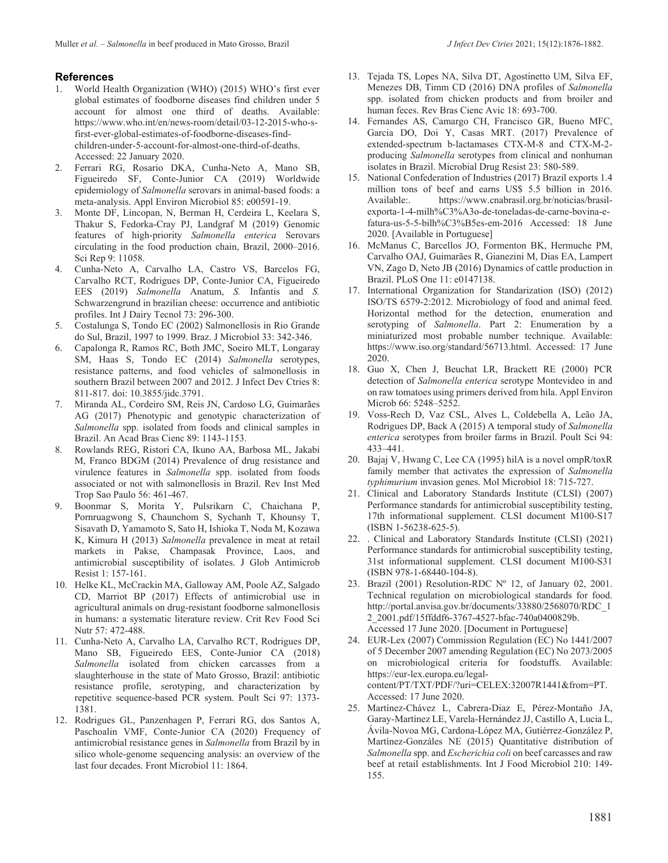#### **References**

- 1. World Health Organization (WHO) (2015) WHO's first ever global estimates of foodborne diseases find children under 5 account for almost one third of deaths. Available: https://www.who.int/en/news-room/detail/03-12-2015-who-sfirst-ever-global-estimates-of-foodborne-diseases-findchildren-under-5-account-for-almost-one-third-of-deaths. Accessed: 22 January 2020.
- 2. Ferrari RG, Rosario DKA, Cunha-Neto A, Mano SB, Figueiredo SF, Conte-Junior CA (2019) Worldwide epidemiology of *Salmonella* serovars in animal-based foods: a meta-analysis. Appl Environ Microbiol 85: e00591-19.
- 3. Monte DF, Lincopan, N, Berman H, Cerdeira L, Keelara S, Thakur S, Fedorka-Cray PJ, Landgraf M (2019) Genomic features of high-priority *Salmonella enterica* Serovars circulating in the food production chain, Brazil, 2000–2016. Sci Rep 9: 11058.
- 4. Cunha-Neto A, Carvalho LA, Castro VS, Barcelos FG, Carvalho RCT, Rodrigues DP, Conte-Junior CA, Figueiredo EES (2019) *Salmonella* Anatum, *S.* Infantis and *S.* Schwarzengrund in brazilian cheese: occurrence and antibiotic profiles. Int J Dairy Tecnol 73: 296-300.
- 5. Costalunga S, Tondo EC (2002) Salmonellosis in Rio Grande do Sul, Brazil, 1997 to 1999. Braz. J Microbiol 33: 342-346.
- 6. Capalonga R, Ramos RC, Both JMC, Soeiro MLT, Longaray SM, Haas S, Tondo EC (2014) *Salmonella* serotypes, resistance patterns, and food vehicles of salmonellosis in southern Brazil between 2007 and 2012. J Infect Dev Ctries 8: 811-817. doi: 10.3855/jidc.3791.
- 7. Miranda AL, Cordeiro SM, Reis JN, Cardoso LG, Guimarães AG (2017) Phenotypic and genotypic characterization of *Salmonella* spp. isolated from foods and clinical samples in Brazil. An Acad Bras Cienc 89: 1143-1153.
- 8. Rowlands REG, Ristori CA, Ikuno AA, Barbosa ML, Jakabi M, Franco BDGM (2014) Prevalence of drug resistance and virulence features in *Salmonella* spp. isolated from foods associated or not with salmonellosis in Brazil. Rev Inst Med Trop Sao Paulo 56: 461-467.
- 9. Boonmar S, Morita Y, Pulsrikarn C, Chaichana P, Pornruagwong S, Chaunchom S, Sychanh T, Khounsy T, Sisavath D, Yamamoto S, Sato H, Ishioka T, Noda M, Kozawa K, Kimura H (2013) *Salmonella* prevalence in meat at retail markets in Pakse, Champasak Province, Laos, and antimicrobial susceptibility of isolates. J Glob Antimicrob Resist 1: 157-161.
- 10. Helke KL, McCrackin MA, Galloway AM, Poole AZ, Salgado CD, Marriot BP (2017) Effects of antimicrobial use in agricultural animals on drug-resistant foodborne salmonellosis in humans: a systematic literature review. Crit Rev Food Sci Nutr 57: 472-488.
- 11. Cunha-Neto A, Carvalho LA, Carvalho RCT, Rodrigues DP, Mano SB, Figueiredo EES, Conte-Junior CA (2018) *Salmonella* isolated from chicken carcasses from a slaughterhouse in the state of Mato Grosso, Brazil: antibiotic resistance profile, serotyping, and characterization by repetitive sequence-based PCR system. Poult Sci 97: 1373- 1381.
- 12. Rodrigues GL, Panzenhagen P, Ferrari RG, dos Santos A, Paschoalin VMF, Conte-Junior CA (2020) Frequency of antimicrobial resistance genes in *Salmonella* from Brazil by in silico whole-genome sequencing analysis: an overview of the last four decades. Front Microbiol 11: 1864.
- 13. Tejada TS, Lopes NA, Silva DT, Agostinetto UM, Silva EF, Menezes DB, Timm CD (2016) DNA profiles of *Salmonella* spp. isolated from chicken products and from broiler and human feces. Rev Bras Cienc Avic 18: 693-700.
- 14. Fernandes AS, Camargo CH, Francisco GR, Bueno MFC, Garcia DO, Doi Y, Casas MRT. (2017) Prevalence of extended-spectrum b-lactamases CTX-M-8 and CTX-M-2 producing *Salmonella* serotypes from clinical and nonhuman isolates in Brazil. Microbial Drug Resist 23: 580-589.
- 15. National Confederation of Industries (2017) Brazil exports 1.4 million tons of beef and earns US\$ 5.5 billion in 2016. Available:. https://www.cnabrasil.org.br/noticias/brasilexporta-1-4-milh%C3%A3o-de-toneladas-de-carne-bovina-efatura-us-5-5-bilh%C3%B5es-em-2016 Accessed: 18 June 2020. [Available in Portuguese]
- 16. McManus C, Barcellos JO, Formenton BK, Hermuche PM, Carvalho OAJ, Guimarães R, Gianezini M, Dias EA, Lampert VN, Zago D, Neto JB (2016) Dynamics of cattle production in Brazil. PLoS One 11: e0147138.
- 17. International Organization for Standarization (ISO) (2012) ISO/TS 6579-2:2012. Microbiology of food and animal feed. Horizontal method for the detection, enumeration and serotyping of *Salmonella*. Part 2: Enumeration by a miniaturized most probable number technique. Available: https://www.iso.org/standard/56713.html. Accessed: 17 June 2020.
- 18. Guo X, Chen J, Beuchat LR, Brackett RE (2000) PCR detection of *Salmonella enterica* serotype Montevideo in and on raw tomatoes using primers derived from hila. Appl Environ Microb 66: 5248–5252.
- 19. Voss-Rech D, Vaz CSL, Alves L, Coldebella A, Leão JA, Rodrigues DP, Back A (2015) A temporal study of *Salmonella enterica* serotypes from broiler farms in Brazil. Poult Sci 94: 433–441.
- 20. Bajaj V, Hwang C, Lee CA (1995) hilA is a novel ompR/toxR family member that activates the expression of *Salmonella typhimurium* invasion genes. Mol Microbiol 18: 715-727.
- 21. Clinical and Laboratory Standards Institute (CLSI) (2007) Performance standards for antimicrobial susceptibility testing, 17th informational supplement. CLSI document M100-S17 (ISBN 1-56238-625-5).
- 22. . Clinical and Laboratory Standards Institute (CLSI) (2021) Performance standards for antimicrobial susceptibility testing, 31st informational supplement. CLSI document M100-S31 (ISBN 978-1-68440-104-8).
- 23. Brazil (2001) Resolution-RDC Nº 12, of January 02, 2001. Technical regulation on microbiological standards for food. http://portal.anvisa.gov.br/documents/33880/2568070/RDC\_1 2\_2001.pdf/15ffddf6-3767-4527-bfac-740a0400829b. Accessed 17 June 2020. [Document in Portuguese]
- 24. EUR-Lex (2007) Commission Regulation (EC) No 1441/2007 of 5 December 2007 amending Regulation (EC) No 2073/2005 on microbiological criteria for foodstuffs. Available: https://eur-lex.europa.eu/legalcontent/PT/TXT/PDF/?uri=CELEX:32007R1441&from=PT. Accessed: 17 June 2020.
- 25. Martínez-Chávez L, Cabrera-Diaz E, Pérez-Montaño JA, Garay-Martínez LE, Varela-Hernández JJ, Castillo A, Lucia L, Ávila-Novoa MG, Cardona-López MA, Gutiérrez-González P, Martínez-Gonzáles NE (2015) Quantitative distribution of *Salmonella* spp. and *Escherichia coli* on beef carcasses and raw beef at retail establishments. Int J Food Microbiol 210: 149- 155.